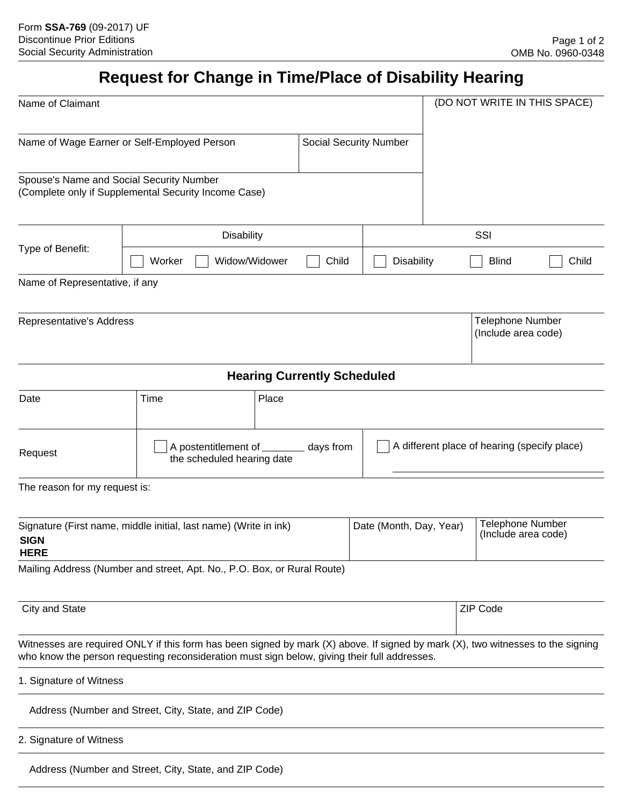## **Request for Change in Time/Place of Disability Hearing**

| Name of Claimant                                                                                                                                                                                                                |                                                        |                                                                       |                               |                                   | (DO NOT WRITE IN THIS SPACE)                   |  |  |  |
|---------------------------------------------------------------------------------------------------------------------------------------------------------------------------------------------------------------------------------|--------------------------------------------------------|-----------------------------------------------------------------------|-------------------------------|-----------------------------------|------------------------------------------------|--|--|--|
| Name of Wage Earner or Self-Employed Person                                                                                                                                                                                     |                                                        |                                                                       | <b>Social Security Number</b> |                                   |                                                |  |  |  |
| Spouse's Name and Social Security Number<br>(Complete only if Supplemental Security Income Case)                                                                                                                                |                                                        |                                                                       |                               |                                   |                                                |  |  |  |
| Type of Benefit:                                                                                                                                                                                                                | <b>Disability</b>                                      |                                                                       |                               |                                   | SSI                                            |  |  |  |
|                                                                                                                                                                                                                                 | Widow/Widower<br>Worker                                | Child                                                                 |                               | <b>Blind</b><br><b>Disability</b> |                                                |  |  |  |
| Name of Representative, if any                                                                                                                                                                                                  |                                                        |                                                                       |                               |                                   |                                                |  |  |  |
| Representative's Address                                                                                                                                                                                                        |                                                        |                                                                       |                               |                                   | <b>Telephone Number</b><br>(Include area code) |  |  |  |
|                                                                                                                                                                                                                                 |                                                        | <b>Hearing Currently Scheduled</b>                                    |                               |                                   |                                                |  |  |  |
| Date                                                                                                                                                                                                                            | Time                                                   | Place                                                                 |                               |                                   |                                                |  |  |  |
| Request                                                                                                                                                                                                                         |                                                        | A postentitlement of ________ days from<br>the scheduled hearing date |                               |                                   | A different place of hearing (specify place)   |  |  |  |
| The reason for my request is:                                                                                                                                                                                                   |                                                        |                                                                       |                               |                                   |                                                |  |  |  |
| Date (Month, Day, Year)<br>Signature (First name, middle initial, last name) (Write in ink)<br><b>SIGN</b><br><b>HERE</b>                                                                                                       |                                                        |                                                                       |                               |                                   | Telephone Number<br>(Include area code)        |  |  |  |
| Mailing Address (Number and street, Apt. No., P.O. Box, or Rural Route)                                                                                                                                                         |                                                        |                                                                       |                               |                                   |                                                |  |  |  |
| City and State                                                                                                                                                                                                                  |                                                        |                                                                       |                               |                                   | ZIP Code                                       |  |  |  |
| Witnesses are required ONLY if this form has been signed by mark (X) above. If signed by mark (X), two witnesses to the signing<br>who know the person requesting reconsideration must sign below, giving their full addresses. |                                                        |                                                                       |                               |                                   |                                                |  |  |  |
| 1. Signature of Witness                                                                                                                                                                                                         |                                                        |                                                                       |                               |                                   |                                                |  |  |  |
|                                                                                                                                                                                                                                 | Address (Number and Street, City, State, and ZIP Code) |                                                                       |                               |                                   |                                                |  |  |  |
| 2. Signature of Witness                                                                                                                                                                                                         |                                                        |                                                                       |                               |                                   |                                                |  |  |  |
|                                                                                                                                                                                                                                 | Address (Number and Street, City, State, and ZIP Code) |                                                                       |                               |                                   |                                                |  |  |  |